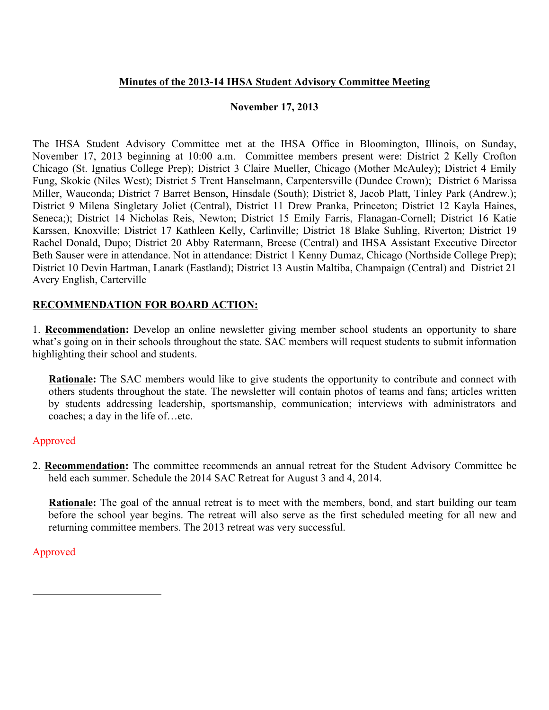## **Minutes of the 2013-14 IHSA Student Advisory Committee Meeting**

### **November 17, 2013**

The IHSA Student Advisory Committee met at the IHSA Office in Bloomington, Illinois, on Sunday, November 17, 2013 beginning at 10:00 a.m. Committee members present were: District 2 Kelly Crofton Chicago (St. Ignatius College Prep); District 3 Claire Mueller, Chicago (Mother McAuley); District 4 Emily Fung, Skokie (Niles West); District 5 Trent Hanselmann, Carpentersville (Dundee Crown); District 6 Marissa Miller, Wauconda; District 7 Barret Benson, Hinsdale (South); District 8, Jacob Platt, Tinley Park (Andrew.); District 9 Milena Singletary Joliet (Central), District 11 Drew Pranka, Princeton; District 12 Kayla Haines, Seneca;); District 14 Nicholas Reis, Newton; District 15 Emily Farris, Flanagan-Cornell; District 16 Katie Karssen, Knoxville; District 17 Kathleen Kelly, Carlinville; District 18 Blake Suhling, Riverton; District 19 Rachel Donald, Dupo; District 20 Abby Ratermann, Breese (Central) and IHSA Assistant Executive Director Beth Sauser were in attendance. Not in attendance: District 1 Kenny Dumaz, Chicago (Northside College Prep); District 10 Devin Hartman, Lanark (Eastland); District 13 Austin Maltiba, Champaign (Central) and District 21 Avery English, Carterville

## **RECOMMENDATION FOR BOARD ACTION:**

1. **Recommendation:** Develop an online newsletter giving member school students an opportunity to share what's going on in their schools throughout the state. SAC members will request students to submit information highlighting their school and students.

**Rationale:** The SAC members would like to give students the opportunity to contribute and connect with others students throughout the state. The newsletter will contain photos of teams and fans; articles written by students addressing leadership, sportsmanship, communication; interviews with administrators and coaches; a day in the life of…etc.

## Approved

2. **Recommendation:** The committee recommends an annual retreat for the Student Advisory Committee be held each summer. Schedule the 2014 SAC Retreat for August 3 and 4, 2014.

**Rationale:** The goal of the annual retreat is to meet with the members, bond, and start building our team before the school year begins. The retreat will also serve as the first scheduled meeting for all new and returning committee members. The 2013 retreat was very successful.

## Approved